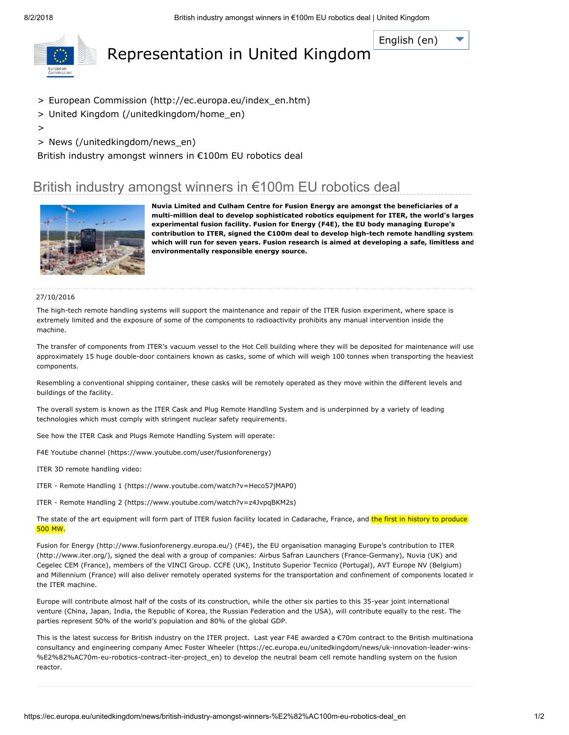[English](javascript:void(0)) (en)

<span id="page-0-0"></span>

# Representation in United Kingdom

- > European Commission [\(http://ec.europa.eu/index\\_en.htm\)](http://ec.europa.eu/index_en.htm)
- > United Kingdom [\(/unitedkingdom/home\\_en\)](https://ec.europa.eu/unitedkingdom/home_en)
- >
- > News [\(/unitedkingdom/news\\_en\)](https://ec.europa.eu/unitedkingdom/news_en)

British industry amongst winners in €100m EU robotics deal

## British industry amongst winners in €100m EU robotics deal



Nuvia Limited and Culham Centre for Fusion Energy are amongst the beneficiaries of a multi-million deal to develop sophisticated robotics equipment for ITER, the world's larges experimental fusion facility. Fusion for Energy (F4E), the EU body managing Europe's contribution to ITER, signed the €100m deal to develop high-tech remote handling system which will run for seven years. Fusion research is aimed at developing a safe, limitless and environmentally responsible energy source.

#### 27/10/2016

The high-tech remote handling systems will support the maintenance and repair of the ITER fusion experiment, where space is extremely limited and the exposure of some of the components to radioactivity prohibits any manual intervention inside the machine.

The transfer of components from ITER's vacuum vessel to the Hot Cell building where they will be deposited for maintenance will use approximately 15 huge double-door containers known as casks, some of which will weigh 100 tonnes when transporting the heaviest components.

Resembling a conventional shipping container, these casks will be remotely operated as they move within the different levels and buildings of the facility.

The overall system is known as the ITER Cask and Plug Remote Handling System and is underpinned by a variety of leading technologies which must comply with stringent nuclear safety requirements.

See how the ITER Cask and Plugs Remote Handling System will operate:

F4E Youtube channel [\(https://www.youtube.com/user/fusionforenergy\)](https://www.youtube.com/user/fusionforenergy)

ITER 3D remote handling video:

ITER - Remote Handling 1 [\(https://www.youtube.com/watch?v=Heco57jMAP0\)](https://www.youtube.com/watch?v=Heco57jMAP0)

ITER - Remote Handling 2 [\(https://www.youtube.com/watch?v=z4JvpqBKM2s\)](https://www.youtube.com/watch?v=z4JvpqBKM2s)

The state of the art equipment will form part of ITER fusion facility located in Cadarache, France, and the first in history to produce 500 MW.

Fusion for Energy [\(http://www.fusionforenergy.europa.eu/](http://www.fusionforenergy.europa.eu/)[\)](http://www.iter.org/) (F4E), the EU organisation managing Europe's contribution to ITER (http://www.iter.org/), signed the deal with a group of companies: Airbus Safran Launchers (France-Germany), Nuvia (UK) and Cegelec CEM (France), members of the VINCI Group. CCFE (UK), Instituto Superior Tecnico (Portugal), AVT Europe NV (Belgium) and Millennium (France) will also deliver remotely operated systems for the transportation and confinement of components located ir the ITER machine.

Europe will contribute almost half of the costs of its construction, while the other six parties to this 35-year joint international venture (China, Japan, India, the Republic of Korea, the Russian Federation and the USA), will contribute equally to the rest. The parties represent 50% of the world's population and 80% of the global GDP.

This is the latest success for British industry on the ITER project. Last year F4E awarded a €70m contract to the British multinationa consultancy and engineering company Amec Foster Wheeler [\(https://ec.europa.eu/unitedkingdom/news/uk-innovation-leader-wins-](https://ec.europa.eu/unitedkingdom/news/uk-innovation-leader-wins-%E2%82%AC70m-eu-robotics-contract-iter-project_en) %E2%82%AC70m-eu-robotics-contract-iter-project\_en) to develop the neutral beam cell remote handling system on the fusion reactor.